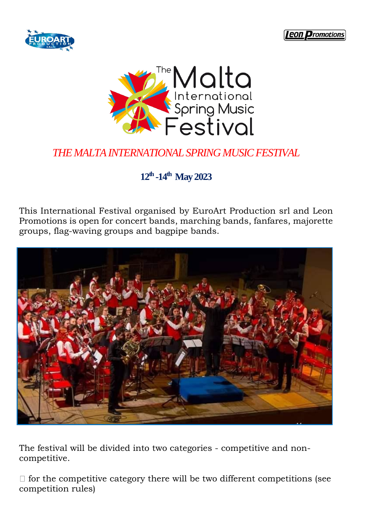





# *THE MALTA INTERNATIONAL SPRINGMUSIC FESTIVAL*

# **12th -14th May 2023**

This International Festival organised by EuroArt Production srl and Leon Promotions is open for concert bands, marching bands, fanfares, majorette groups, flag-waving groups and bagpipe bands.



The festival will be divided into two categories - competitive and noncompetitive.

 $\Box$  for the competitive category there will be two different competitions (see competition rules)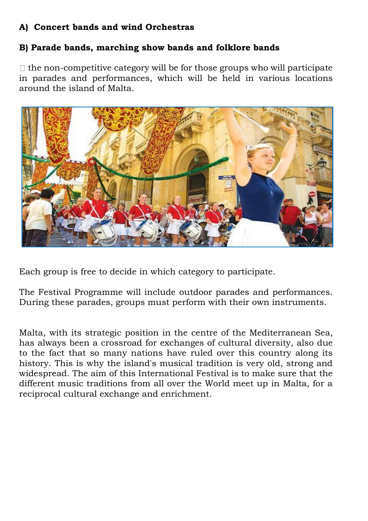## **A) Concert bands and wind Orchestras**

#### **B) Parade bands, marching show bands and folklore bands**

 $\Box$  the non-competitive category will be for those groups who will participate in parades and performances, which will be held in various locations around the island of Malta.



Each group is free to decide in which category to participate.

The Festival Programme will include outdoor parades and performances. During these parades, groups must perform with their own instruments.

Malta, with its strategic position in the centre of the Mediterranean Sea, has always been a crossroad for exchanges of cultural diversity, also due to the fact that so many nations have ruled over this country along its history. This is why the island's musical tradition is very old, strong and widespread. The aim of this International Festival is to make sure that the different music traditions from all over the World meet up in Malta, for a reciprocal cultural exchange and enrichment.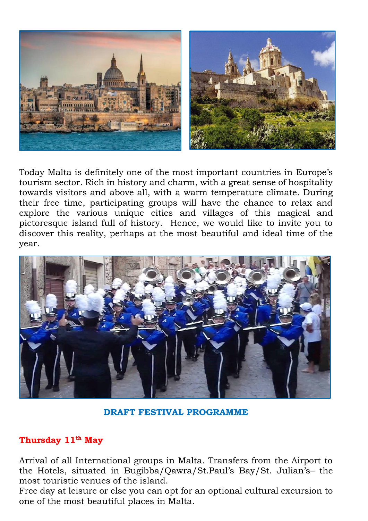

Today Malta is definitely one of the most important countries in Europe's tourism sector. Rich in history and charm, with a great sense of hospitality towards visitors and above all, with a warm temperature climate. During their free time, participating groups will have the chance to relax and explore the various unique cities and villages of this magical and pictoresque island full of history. Hence, we would like to invite you to discover this reality, perhaps at the most beautiful and ideal time of the year.



**DRAFT FESTIVAL PROGRAMME**

#### **Thursday 11th May**

Arrival of all International groups in Malta. Transfers from the Airport to the Hotels, situated in Bugibba/Qawra/St.Paul's Bay/St. Julian's– the most touristic venues of the island.

Free day at leisure or else you can opt for an optional cultural excursion to one of the most beautiful places in Malta.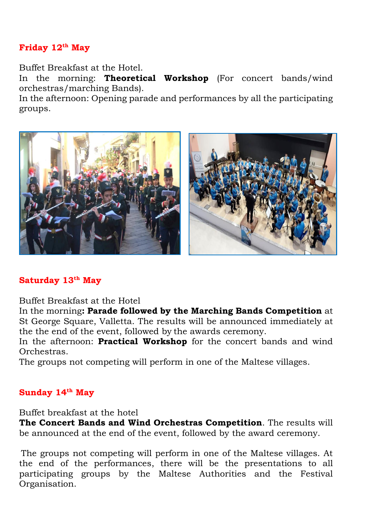#### **Friday 12th May**

Buffet Breakfast at the Hotel.

In the morning: **Theoretical Workshop** (For concert bands/wind orchestras/marching Bands).

In the afternoon: Opening parade and performances by all the participating groups.



### **Saturday 13th May**

Buffet Breakfast at the Hotel

In the morning**: Parade followed by the Marching Bands Competition** at St George Square, Valletta. The results will be announced immediately at the the end of the event, followed by the awards ceremony.

In the afternoon: **Practical Workshop** for the concert bands and wind Orchestras.

The groups not competing will perform in one of the Maltese villages.

### **Sunday 14th May**

Buffet breakfast at the hotel

**The Concert Bands and Wind Orchestras Competition**. The results will be announced at the end of the event, followed by the award ceremony.

The groups not competing will perform in one of the Maltese villages. At the end of the performances, there will be the presentations to all participating groups by the Maltese Authorities and the Festival Organisation.